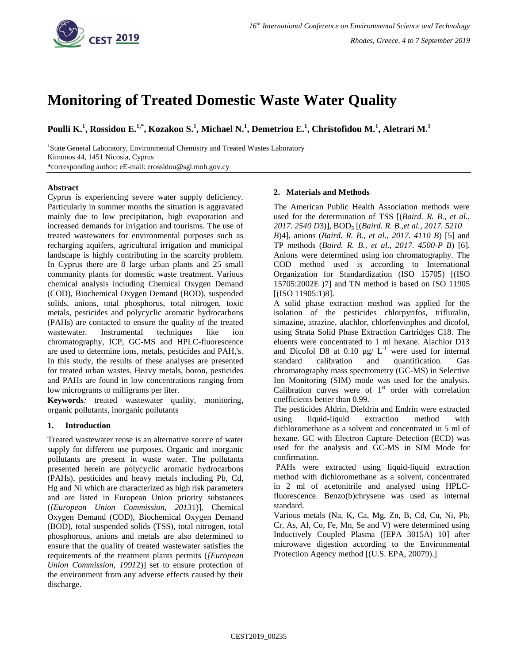

# **Monitoring of Treated Domestic Waste Water Quality**

**Poulli K.<sup>1</sup> , Rossidou E.1,\* , Kozakou S.<sup>1</sup> , Michael N.<sup>1</sup> , Demetriou E.<sup>1</sup> , Christofidou M.<sup>1</sup> , Aletrari M. 1**

<sup>1</sup>State General Laboratory, Environmental Chemistry and Treated Wastes Laboratory Kimonos 44, 1451 Nicosia, Cyprus \*corresponding author: eE-mail: erossidou@sgl.moh.gov.cy

# **Abstract**

Cyprus is experiencing severe water supply deficiency. Particularly in summer months the situation is aggravated mainly due to low precipitation, high evaporation and increased demands for irrigation and tourisms. The use of treated wastewaters for environmental purposes such as recharging aquifers, agricultural irrigation and municipal landscape is highly contributing in the scarcity problem. In Cyprus there are 8 large urban plants and 25 small community plants for domestic waste treatment. Various chemical analysis including Chemical Oxygen Demand (COD), Biochemical Oxygen Demand (BOD), suspended solids, anions, total phosphorus, total nitrogen, toxic metals, pesticides and polycyclic aromatic hydrocarbons (PAHs) are contacted to ensure the quality of the treated wastewater. Instrumental techniques like ion chromatography, ICP, GC-MS and HPLC-fluorescence are used to determine ions, metals, pesticides and PAH,'s. In this study, the results of these analyses are presented for treated urban wastes. Heavy metals, boron, pesticides and PAHs are found in low concentrations ranging from low micrograms to milligrams per liter.

**Keywords***:* treated wastewater quality, monitoring, organic pollutants, inorganic pollutants

### **1. Introduction**

Treated wastewater reuse is an alternative source of water supply for different use purposes. Organic and inorganic pollutants are present in waste water. The pollutants presented herein are polycyclic aromatic hydrocarbons (PAHs), pesticides and heavy metals including Pb, Cd, Hg and Ni which are characterized as high risk parameters and are listed in European Union priority substances (*[European Union Commission, 2013*1)]. Chemical Oxygen Demand (COD), Biochemical Oxygen Demand (BOD), total suspended solids (TSS), total nitrogen, total phosphorous, anions and metals are also determined to ensure that the quality of treated wastewater satisfies the requirements of the treatment plants permits (*[European Union Commission, 1991*2)] set to ensure protection of the environment from any adverse effects caused by their discharge.

## **2. Materials and Methods**

The American Public Health Association methods were used for the determination of TSS [(*Baird. R. B., et al., 2017. 2540 D*3)], BOD<sup>5</sup> [(*Baird. R. B.,et al., 2017. 5210 B*)4], anions (*Baird. R. B., et al., 2017. 4110 B*) [5] and TP methods (*Baird. R. B., et al., 2017. 4500-P B*) [6]. Anions were determined using ion chromatography. The COD method used is according to International Organization for Standardization (ISO 15705) [(ISO 15705:2002E )7] and TN method is based on ISO 11905 [(ISO 11905:1)8].

A solid phase extraction method was applied for the isolation of the pesticides chlorpyrifos, trifluralin, simazine, atrazine, alachlor, chlorfenvinphos and dicofol, using Strata Solid Phase Extraction Cartridges C18. The eluents were concentrated to 1 ml hexane. Alachlor D13 and Dicofol D8 at 0.10  $\mu$ g/ L<sup>-1</sup> were used for internal standard calibration and quantification. Gas chromatography mass spectrometry (GC-MS) in Selective Ion Monitoring (SIM) mode was used for the analysis. Calibration curves were of  $1<sup>st</sup>$  order with correlation coefficients better than 0.99.

The pesticides Aldrin, Dieldrin and Endrin were extracted using liquid-liquid extraction method with dichloromethane as a solvent and concentrated in 5 ml of hexane. GC with Electron Capture Detection (ECD) was used for the analysis and GC-MS in SIM Mode for confirmation.

PAHs were extracted using liquid-liquid extraction method with dichloromethane as a solvent, concentrated in 2 ml of acetonitrile and analysed using HPLCfluorescence. Benzo(b)chrysene was used as internal standard.

Various metals (Na, K, Ca, Mg, Zn, B, Cd, Cu, Ni, Pb, Cr, As, Al, Co, Fe, Mn, Se and V) were determined using Inductively Coupled Plasma ([EPA 3015A) 10] after microwave digestion according to the Environmental Protection Agency method [(U.S. EPA, 20079).]